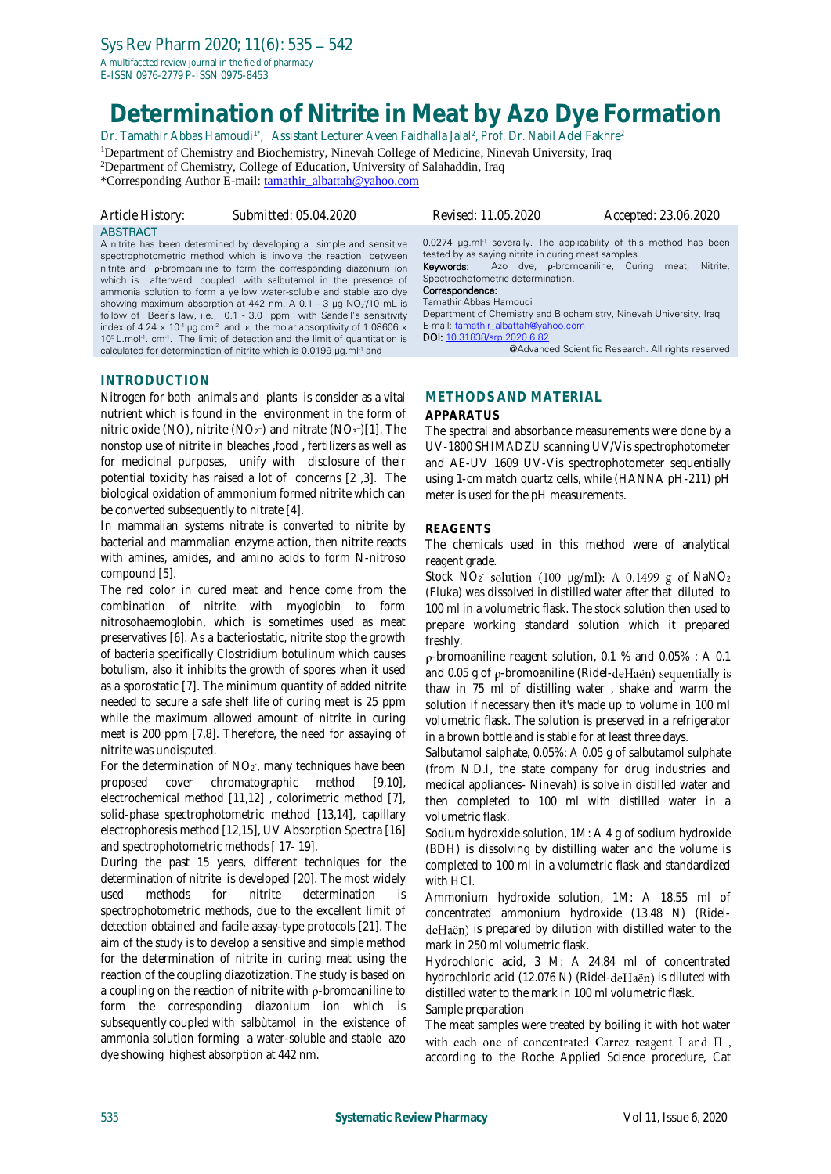E-ISSN 0976-2779 P-ISSN 0975-8453

# **Determination of Nitrite in Meat by Azo Dye Formation**

Dr. Tamathir Abbas Hamoudi<sup>1\*</sup>, Assistant Lecturer Aveen Faidhalla Jalal<sup>2</sup>, Prof. Dr. Nabil Adel Fakhre<sup>2</sup>

<sup>1</sup>Department of Chemistry and Biochemistry, Ninevah College of Medicine, Ninevah University, Iraq <sup>2</sup>Department of Chemistry, College of Education, University of Salahaddin, Iraq

\*Corresponding Author E-mail: [tamathir\\_albattah@yahoo.com](mailto:tamathir_albattah@yahoo.com)

| Article History: |
|------------------|
| <b>ABSTRACT</b>  |

A nitrite has been determined by developing a simple and sensitive spectrophotometric method which is involve the reaction between nitrite and ρ-bromoaniline to form the corresponding diazonium ion which is afterward coupled with salbutamol in the presence of ammonia solution to form a yellow water-soluble and stable azo dye showing maximum absorption at 442 nm. A 0.1 - 3  $\mu$ g NO<sub>2</sub>/10 mL is follow of Beer's law, i.e., 0.1 - 3.0 ppm with Sandell's sensitivity index of 4.24  $\times$  10<sup>-4</sup> μg.cm<sup>-2</sup> and ε, the molar absorptivity of 1.08606  $\times$ 10<sup>5</sup> L.mol<sup>-1</sup>. cm<sup>-1</sup>. The limit of detection and the limit of quantitation is calculated for determination of nitrite which is 0.0199 µg.ml<sup>-1</sup> and

*Article History: Submitted: 05.04.2020 Revised: 11.05.2020 Accepted: 23.06.2020*

0.0274 µg.ml<sup>-1</sup> severally. The applicability of this method has been tested by as saying nitrite in curing meat samples. Keywords: Azo dye, ρ-bromoaniline, Curing meat, Nitrite,

#### Spectrophotometric determination. Correspondence:

Tamathir Abbas Hamoudi

Department of Chemistry and Biochemistry, Ninevah University, Iraq E-mail: [tamathir\\_albattah@yahoo.com](mailto:tamathir_albattah@yahoo.com) DOI: [10.31838/srp.2020.6.82](http://dx.doi.org/10.5530/srp.2019.2.04)

@Advanced Scientific Research. All rights reserved

#### **INTRODUCTION**

Nitrogen for both animals and plants is consider as a vital nutrient which is found in the environment in the form of nitric oxide (NO), nitrite (NO<sub>2</sub><sup>-</sup>) and nitrate (NO<sub>3</sub><sup>-</sup>)[1]. The nonstop use of nitrite in bleaches ,food , fertilizers as well as for medicinal purposes, unify with disclosure of their potential toxicity has raised a lot of concerns [2 ,3]. The biological oxidation of ammonium formed nitrite which can be converted subsequently to nitrate [4].

In mammalian systems nitrate is converted to nitrite by bacterial and mammalian enzyme action, then nitrite reacts with amines, amides, and amino acids to form N-nitroso compound [5].

The red color in cured meat and hence come from the combination of nitrite with myoglobin to form nitrosohaemoglobin, which is sometimes used as meat preservatives [6]. As a bacteriostatic, nitrite stop the growth of bacteria specifically Clostridium botulinum which causes botulism, also it inhibits the growth of spores when it used as a sporostatic [7]. The minimum quantity of added nitrite needed to secure a safe shelf life of curing meat is 25 ppm while the maximum allowed amount of nitrite in curing meat is 200 ppm [7,8]. Therefore, the need for assaying of nitrite was undisputed.

For the determination of  $NO<sub>2</sub>$ , many techniques have been proposed cover chromatographic method [9,10], electrochemical method [11,12] , colorimetric method [7], solid-phase spectrophotometric method [13,14], capillary electrophoresis method [12,15], UV Absorption Spectra [16] and spectrophotometric methods [ 17- 19].

During the past 15 years, different techniques for the determination of [nitrite](https://www.sciencedirect.com/topics/chemistry/nitrite) is developed [20]. The most widely used methods for nitrite determination is spectrophotometric methods, due to the excellent limit of detection obtained and facile assay-type protocols [21]. The aim of the study is to develop a sensitive and simple method for the determination of nitrite in curing meat using the reaction of the coupling diazotization. The study is based on a coupling on the reaction of nitrite with  $\rho$ -bromoaniline to form the corresponding diazonium ion which is subsequently coupled with salbùtamol in the existence of ammonia solution forming a water-soluble and stable azo dye showing highest absorption at 442 nm.

### **METHODS AND MATERIAL**

#### **APPARATUS**

The spectral and absorbance measurements were done by a UV-1800 SHIMADZU scanning UV/Vis spectrophotometer and AE-UV 1609 UV-Vis spectrophotometer sequentially using 1-cm match quartz cells, while (HANNA pH-211) pH meter is used for the pH measurements.

#### **REAGENTS**

The chemicals used in this method were of analytical reagent grade.

Stock  $NO_2$  solution (100  $\mu$ g/ml): A 0.1499 g of NaNO<sub>2</sub> (Fluka) was dissolved in distilled water after that diluted to 100 ml in a volumetric flask. The stock solution then used to prepare working standard solution which it prepared freshly.

-bromoaniline reagent solution, 0.1 % and 0.05% : A 0.1 and 0.05 g of  $\rho$ -bromoaniline (Ridel-deHaën) sequentially is thaw in 75 ml of distilling water , shake and warm the solution if necessary then it's made up to volume in 100 ml volumetric flask. The solution is preserved in a refrigerator in a brown bottle and is stable for at least three days.

Salbutamol salphate, 0.05%: A 0.05 g of salbutamol sulphate (from N.D.I, the state company for drug industries and medical appliances- Ninevah) is solve in distilled water and then completed to 100 ml with distilled water in a volumetric flask.

Sodium hydroxide solution, 1M: A 4 g of sodium hydroxide (BDH) is dissolving by distilling water and the volume is completed to 100 ml in a volumetric flask and standardized with HCl.

Ammonium hydroxide solution, 1M: A 18.55 ml of concentrated ammonium hydroxide (13.48 N) (RideldeHaën) is prepared by dilution with distilled water to the mark in 250 ml volumetric flask.

Hydrochloric acid, 3 M: A 24.84 ml of concentrated hydrochloric acid (12.076 N) (Ridel-deHaën) is diluted with distilled water to the mark in 100 ml volumetric flask.

Sample preparation

The meat samples were treated by boiling it with hot water with each one of concentrated Carrez reagent I and  $\Pi$ , according to the Roche Applied Science procedure, Cat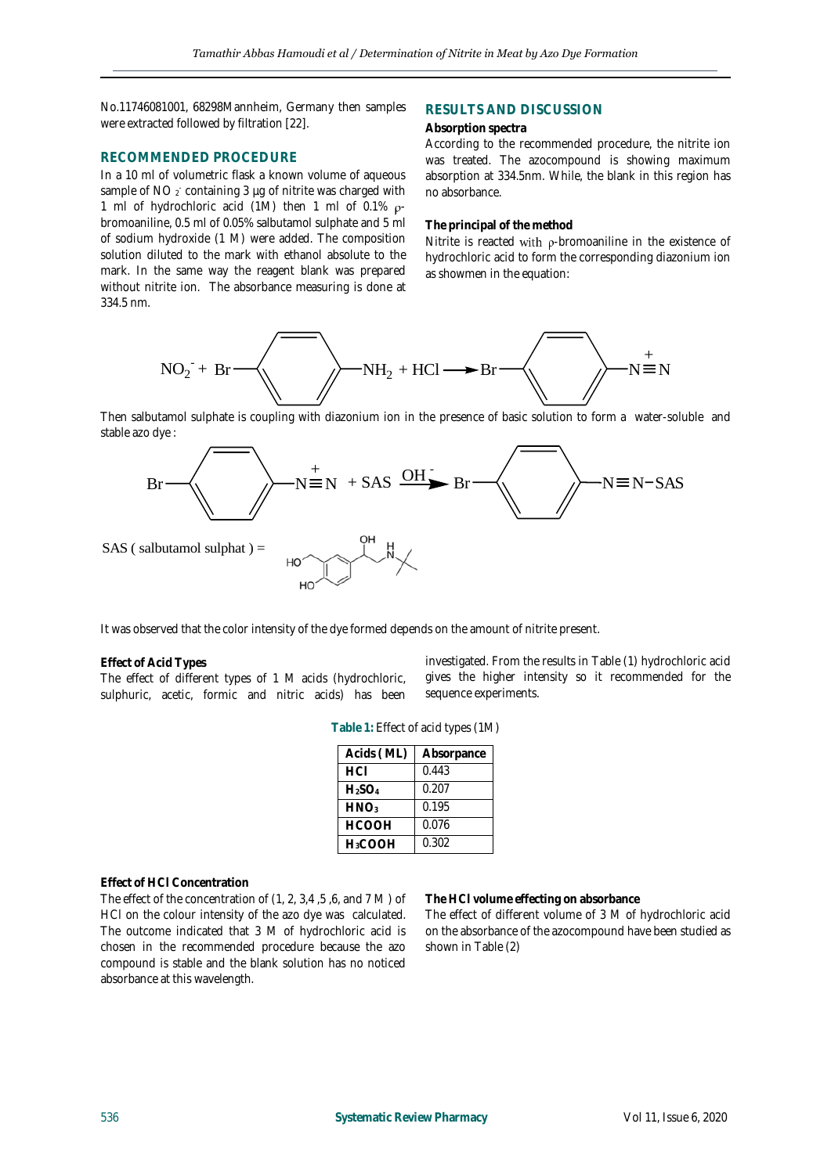No.11746081001, 68298Mannheim, Germany then samples were extracted followed by filtration [22].

#### **RECOMMENDED PROCEDURE**

In a 10 ml of volumetric flask a known volume of aqueous sample of NO  $_2$  containing 3  $\mu$ g of nitrite was charged with 1 ml of hydrochloric acid (1M) then 1 ml of 0.1%  $\rho$ bromoaniline, 0.5 ml of 0.05% salbutamol sulphate and 5 ml of sodium hydroxide (1 M) were added. The composition solution diluted to the mark with ethanol absolute to the mark. In the same way the reagent blank was prepared without nitrite ion. The absorbance measuring is done at 334.5 nm.

#### **RESULTS AND DISCUSSION**

#### **Absorption spectra**

According to the recommended procedure, the nitrite ion was treated. The azocompound is showing maximum absorption at 334.5nm. While, the blank in this region has no absorbance.

#### **The principal of the method**

Nitrite is reacted with  $\rho$ -bromoaniline in the existence of hydrochloric acid to form the corresponding diazonium ion as showmen in the equation:



Then salbutamol sulphate is coupling with diazonium ion in the presence of basic solution to form a water-soluble and stable azo dye :



It was observed that the color intensity of the dye formed depends on the amount of nitrite present.

#### **Effect of Acid Types**

The effect of different types of 1 M acids (hydrochloric, sulphuric, acetic, formic and nitric acids) has been investigated. From the results in Table (1) hydrochloric acid gives the higher intensity so it recommended for the sequence experiments.

| Acids (ML)       | Absorpance |
|------------------|------------|
| HCI              | 0.443      |
| $H_2SO_4$        | 0.207      |
| HNO <sub>3</sub> | 0.195      |
| <b>HCOOH</b>     | 0.076      |
| H3COOH           | 0.302      |

**Table 1:** Effect of acid types (1M)

#### **Effect of HCl Concentration**

The effect of the concentration of (1, 2, 3,4 ,5 ,6, and 7 M ) of HCl on the colour intensity of the azo dye was calculated. The outcome indicated that 3 M of hydrochloric acid is chosen in the recommended procedure because the azo compound is stable and the blank solution has no noticed absorbance at this wavelength.

#### **The HCl volume effecting on absorbance**

The effect of different volume of 3 M of hydrochloric acid on the absorbance of the azocompound have been studied as shown in Table (2)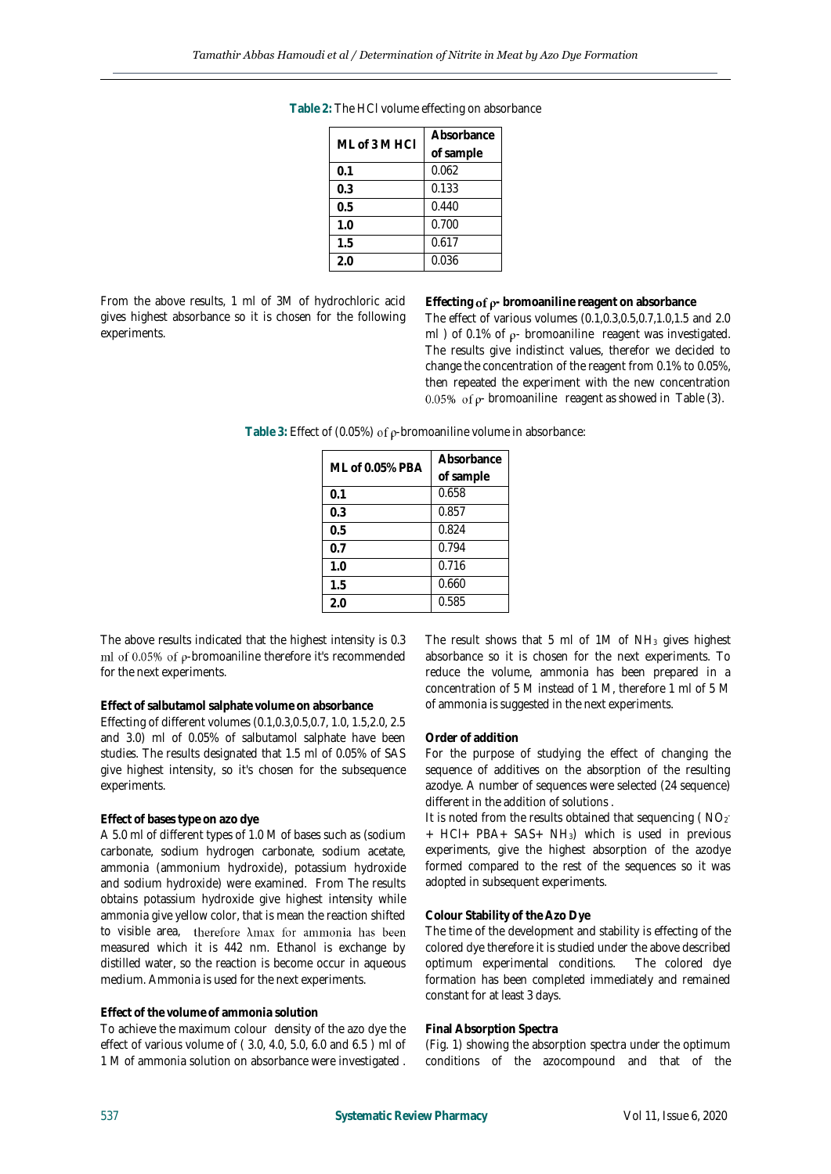| ML of 3 M HCI | Absorbance |  |
|---------------|------------|--|
|               | of sample  |  |
| 0.1           | 0.062      |  |
| 0.3           | 0.133      |  |
| 0.5           | 0.440      |  |
| 1.0           | 0.700      |  |
| 1.5           | 0.617      |  |
| 2.0           | 0.036      |  |

**Table 2:** The HCl volume effecting on absorbance

From the above results, 1 ml of 3M of hydrochloric acid gives highest absorbance so it is chosen for the following experiments.

**Effecting of**  $\rho$ **-** bromoaniline reagent on absorbance The effect of various volumes (0.1,0.3,0.5,0.7,1.0,1.5 and 2.0 ml ) of 0.1% of  $\rho$ - bromoaniline reagent was investigated. The results give indistinct values, therefor we decided to change the concentration of the reagent from 0.1% to 0.05%, then repeated the experiment with the new concentration 0.05% of  $\rho$ - bromoaniline reagent as showed in Table (3).

Table 3: Effect of (0.05%) of  $\rho$ -bromoaniline volume in absorbance:

| ML of 0.05% PBA | Absorbance |
|-----------------|------------|
|                 | of sample  |
| 0.1             | 0.658      |
| 0.3             | 0.857      |
| 0.5             | 0.824      |
| 0.7             | 0.794      |
| 1.0             | 0.716      |
| 1.5             | 0.660      |
| 2.0             | 0.585      |

The above results indicated that the highest intensity is 0.3 ml of 0.05% of  $\rho$ -bromoaniline therefore it's recommended for the next experiments.

#### **Effect of salbutamol salphate volume on absorbance**

Effecting of different volumes (0.1,0.3,0.5,0.7, 1.0, 1.5,2.0, 2.5 and 3.0) ml of 0.05% of salbutamol salphate have been studies. The results designated that 1.5 ml of 0.05% of SAS give highest intensity, so it's chosen for the subsequence experiments.

#### **Effect of bases type on azo dye**

A 5.0 ml of different types of 1.0 M of bases such as (sodium carbonate, sodium hydrogen carbonate, sodium acetate, ammonia (ammonium hydroxide), potassium hydroxide and sodium hydroxide) were examined. From The results obtains potassium hydroxide give highest intensity while ammonia give yellow color, that is mean the reaction shifted to visible area, therefore  $\lambda$ max for ammonia has been measured which it is 442 nm. Ethanol is exchange by distilled water, so the reaction is become occur in aqueous medium. Ammonia is used for the next experiments.

#### **Effect of the volume of ammonia solution**

To achieve the maximum colour density of the azo dye the effect of various volume of ( 3.0, 4.0, 5.0, 6.0 and 6.5 ) ml of 1 M of ammonia solution on absorbance were investigated .

The result shows that 5 ml of  $1M$  of  $NH<sub>3</sub>$  gives highest absorbance so it is chosen for the next experiments. To reduce the volume, ammonia has been prepared in a concentration of 5 M instead of 1 M, therefore 1 ml of 5 M of ammonia is suggested in the next experiments.

#### **Order of addition**

For the purpose of studying the effect of changing the sequence of additives on the absorption of the resulting azodye. A number of sequences were selected (24 sequence) different in the addition of solutions .

It is noted from the results obtained that sequencing ( $NO<sub>2</sub>$ + HCl+ PBA+ SAS+ NH3) which is used in previous experiments, give the highest absorption of the azodye formed compared to the rest of the sequences so it was adopted in subsequent experiments.

#### **Colour Stability of the Azo Dye**

The time of the development and stability is effecting of the colored dye therefore it is studied under the above described optimum experimental conditions. The colored dye formation has been completed immediately and remained constant for at least 3 days.

#### **Final Absorption Spectra**

(Fig. 1) showing the absorption spectra under the optimum conditions of the azocompound and that of the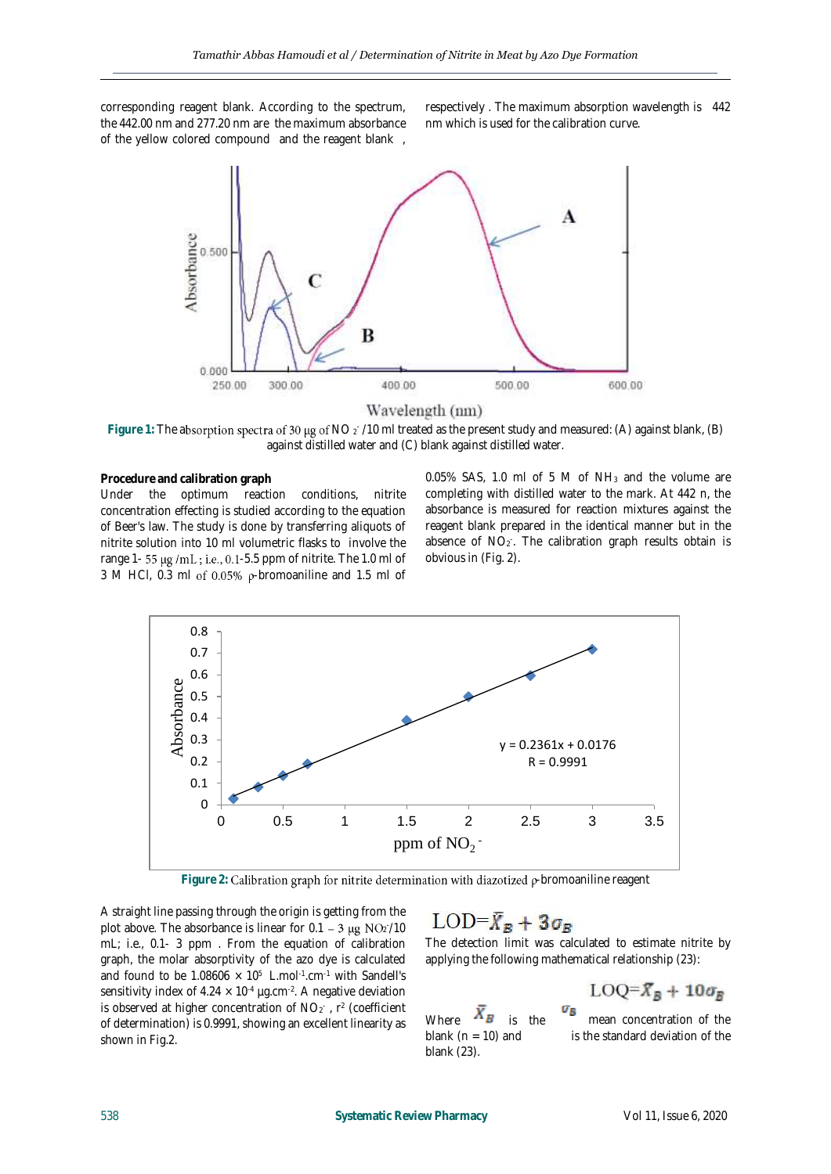corresponding reagent blank. According to the spectrum, the 442.00 nm and 277.20 nm are the maximum absorbance of the yellow colored compound and the reagent blank ,

respectively . The maximum absorption wavelength is 442 nm which is used for the calibration curve.



#### Wavelength (nm)

Figure 1: The absorption spectra of 30 µg of NO 2<sup>-</sup>/10 ml treated as the present study and measured: (A) against blank, (B) against distilled water and (C) blank against distilled water.

#### **Procedure and calibration graph**

Under the optimum reaction conditions, nitrite concentration effecting is studied according to the equation of Beer's law. The study is done by transferring aliquots of nitrite solution into 10 ml volumetric flasks to involve the range 1-  $55 \mu g$  /mL; i.e., 0.1-5.5 ppm of nitrite. The 1.0 ml of 3 M HCl, 0.3 ml of 0.05%  $\rho$ -bromoaniline and 1.5 ml of

0.05% SAS, 1.0 ml of 5 M of NH<sup>3</sup> and the volume are completing with distilled water to the mark. At 442 n, the absorbance is measured for reaction mixtures against the reagent blank prepared in the identical manner but in the absence of NO<sub>2</sub>. The calibration graph results obtain is obvious in (Fig. 2).



Figure 2: Calibration graph for nitrite determination with diazotized p-bromoaniline reagent

A straight line passing through the origin is getting from the plot above. The absorbance is linear for  $0.1 - 3 \mu g NO_2 / 10$ mL; i.e., 0.1- 3 ppm . From the equation of calibration graph, the molar absorptivity of the azo dye is calculated and found to be  $1.08606 \times 10^5$  L.mol<sup>-1</sup>.cm<sup>-1</sup> with Sandell's sensitivity index of 4.24  $\times$  10<sup>-4</sup> µg.cm<sup>-2</sup>. A negative deviation is observed at higher concentration of  $NO<sub>2</sub>$ , r<sup>2</sup> (coefficient of determination) is 0.9991, showing an excellent linearity as shown in Fig.2.

## $LOD = \bar{X}_R + 3\sigma_R$

The detection limit was calculated to estimate nitrite by applying the following mathematical relationship (23):

Where  $X_B$  is the mean concentration of the blank (n = 10) and is the standard deviation of the blank (23).



is the standard deviation of the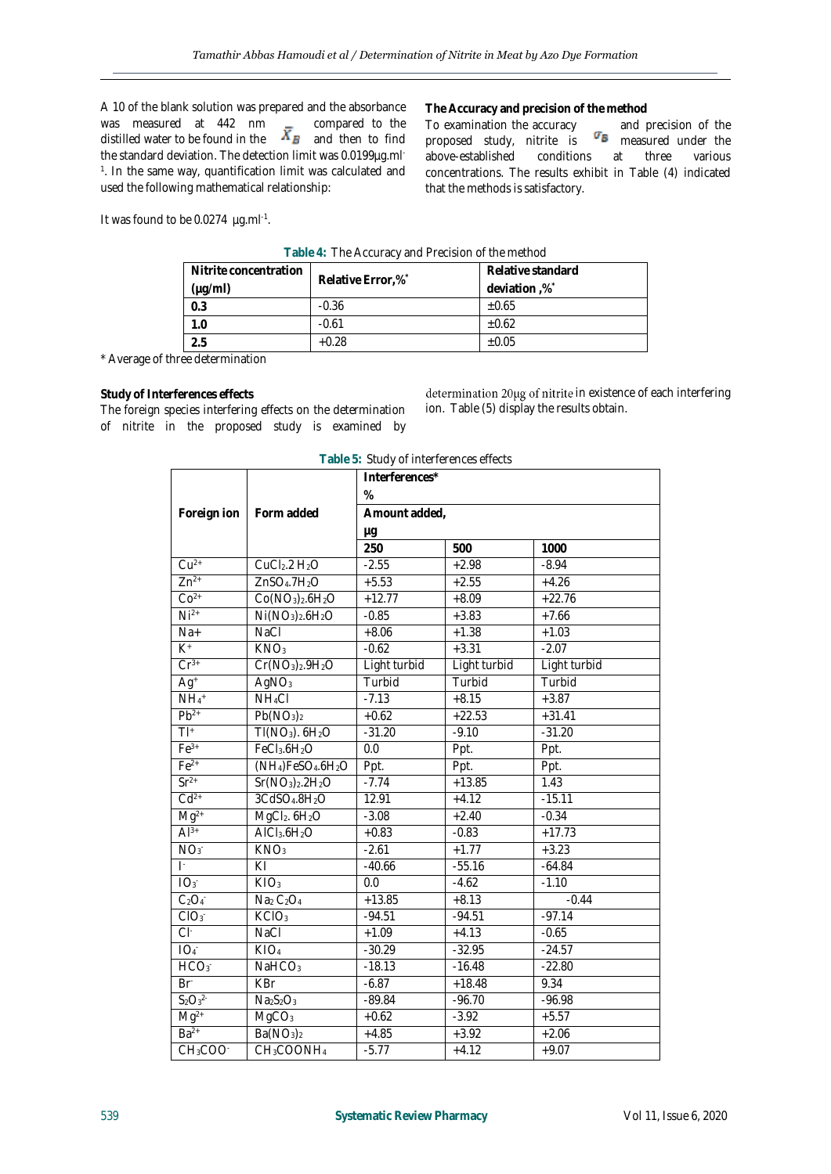A 10 of the blank solution was prepared and the absorbance was measured at 442 nm  $\qquad \qquad \bullet$  compared to the distilled water to be found in the  $\bigoplus$  and then to find the standard deviation. The detection limit was 0.0199µg.ml-1 . In the same way, quantification limit was calculated and used the following mathematical relationship:

**The Accuracy and precision of the method**

To examination the accuracy stand precision of the proposed study, nitrite is measured under the above-established conditions at three various concentrations. The results exhibit in Table (4) indicated that the methods is satisfactory.

It was found to be 0.0274 µg.ml<sup>-1</sup>.

| Table 4. The Accuracy and incellent the memory |                   |                   |  |
|------------------------------------------------|-------------------|-------------------|--|
| Nitrite concentration                          | Relative Error,%* | Relative standard |  |
| $(\mu g/ml)$                                   |                   | deviation,%*      |  |
| 0.3                                            | $-0.36$           | $+0.65$           |  |
| 1.0                                            | $-0.61$           | $\pm 0.62$        |  |
| 2.5                                            | $+0.28$           | $\pm 0.05$        |  |

**Table 4:** The Accuracy and Precision of the method

\* Average of three determination

**Study of Interferences effects**

The foreign species interfering effects on the determination of nitrite in the proposed study is examined by

determination 20µg of nitrite in existence of each interfering ion. Table (5) display the results obtain.

| Table 5: Study of interferences effects |                                                        |                     |              |              |
|-----------------------------------------|--------------------------------------------------------|---------------------|--------------|--------------|
|                                         |                                                        | Interferences*      |              |              |
|                                         |                                                        | %                   |              |              |
| Foreign ion                             | Form added                                             | Amount added,<br>μg |              |              |
|                                         |                                                        |                     |              |              |
|                                         |                                                        | 250                 | 500          | 1000         |
| $Cu2+$                                  | CuCl <sub>2</sub> .2 H <sub>2</sub> O                  | $-2.55$             | $+2.98$      | $-8.94$      |
| $Zn^{2+}$                               | ZnSO <sub>4</sub> .7H <sub>2</sub> O                   | $+5.53$             | $+2.55$      | $+4.26$      |
| $CO2+$                                  | $Co(NO3)2.6H2O$                                        | $+12.77$            | $+8.09$      | $+22.76$     |
| $Ni2+$                                  | $Ni(NO3)2.6H2O$                                        | $-0.85$             | $+3.83$      | $+7.66$      |
| $Na+$                                   | NaCl                                                   | $+8.06$             | $+1.38$      | $+1.03$      |
| $K^+$                                   | KNO <sub>3</sub>                                       | $-0.62$             | $+3.31$      | $-2.07$      |
| $Cr^{3+}$                               | $Cr(NO3)2.9H2O$                                        | Light turbid        | Light turbid | Light turbid |
| $Ag+$                                   | AgNO <sub>3</sub>                                      | Turbid              | Turbid       | Turbid       |
| $NH_4$ <sup>+</sup>                     | $NH_4Cl$                                               | $-7.13$             | $+8.15$      | $+3.87$      |
| $Pb^{2+}$                               | Pb(NO <sub>3</sub> ) <sub>2</sub>                      | $+0.62$             | $+22.53$     | $+31.41$     |
| $\overline{T} ^+$                       | $TI(NO3)$ . $6H2O$                                     | $-31.20$            | $-9.10$      | $-31.20$     |
| $Fe3+$                                  | FeCl <sub>3</sub> .6H <sub>2</sub> O                   | 0.0                 | Ppt.         | Ppt.         |
| $Fe2+$                                  | (NH <sub>4</sub> )FeSO <sub>4</sub> .6H <sub>2</sub> O | Ppt.                | Ppt.         | Ppt.         |
| $Sr2+$                                  | $Sr(NO3)2$ .2H <sub>2</sub> O                          | $-7.74$             | $+13.85$     | 1.43         |
| $Cd2+$                                  | 3CdSO <sub>4</sub> .8H <sub>2</sub> O                  | 12.91               | $+4.12$      | $-15.11$     |
| $Mq^{2+}$                               | $MgCl2$ . $6H2O$                                       | $-3.08$             | $+2.40$      | $-0.34$      |
| $Al^{3+}$                               | AICI <sub>3</sub> .6H <sub>2</sub> O                   | $+0.83$             | $-0.83$      | $+17.73$     |
| NO <sub>3</sub>                         | KNO <sub>3</sub>                                       | $-2.61$             | $+1.77$      | $+3.23$      |
| $\mathbf{E}$                            | KI                                                     | $-40.66$            | $-55.16$     | $-64.84$     |
| IO <sub>3</sub>                         | KIO <sub>3</sub>                                       | 0.0                 | $-4.62$      | $-1.10$      |
| $\overline{C_2O_4}$                     | Na <sub>2</sub> C <sub>2</sub> O <sub>4</sub>          | $+13.85$            | $+8.13$      | $-0.44$      |
| CIO <sub>3</sub>                        | KCIO <sub>3</sub>                                      | $-94.51$            | $-94.51$     | $-97.14$     |
| $Cl^*$                                  | NaCl                                                   | $+1.09$             | $+4.13$      | $-0.65$      |
| IO <sub>4</sub>                         | KIO <sub>4</sub>                                       | $-30.29$            | $-32.95$     | $-24.57$     |
| HCO3                                    | NaHCO <sub>3</sub>                                     | $-18.13$            | $-16.48$     | $-22.80$     |
| Br <sup>-</sup>                         | <b>KBr</b>                                             | $-6.87$             | $+18.48$     | 9.34         |
| $S_2O_3^{2-}$                           | Na <sub>2</sub> S <sub>2</sub> O <sub>3</sub>          | $-89.84$            | $-96.70$     | $-96.98$     |
| $Mg^{2+}$                               | MgCO <sub>3</sub>                                      | $+0.62$             | $-3.92$      | $+5.57$      |
| $Ba2+$                                  | Ba(NO <sub>3</sub> ) <sub>2</sub>                      | $+4.85$             | $+3.92$      | $+2.06$      |
| CH <sub>3</sub> COO <sup>-</sup>        | CH <sub>3</sub> COONH <sub>4</sub>                     | $-5.77$             | $+4.12$      | $+9.07$      |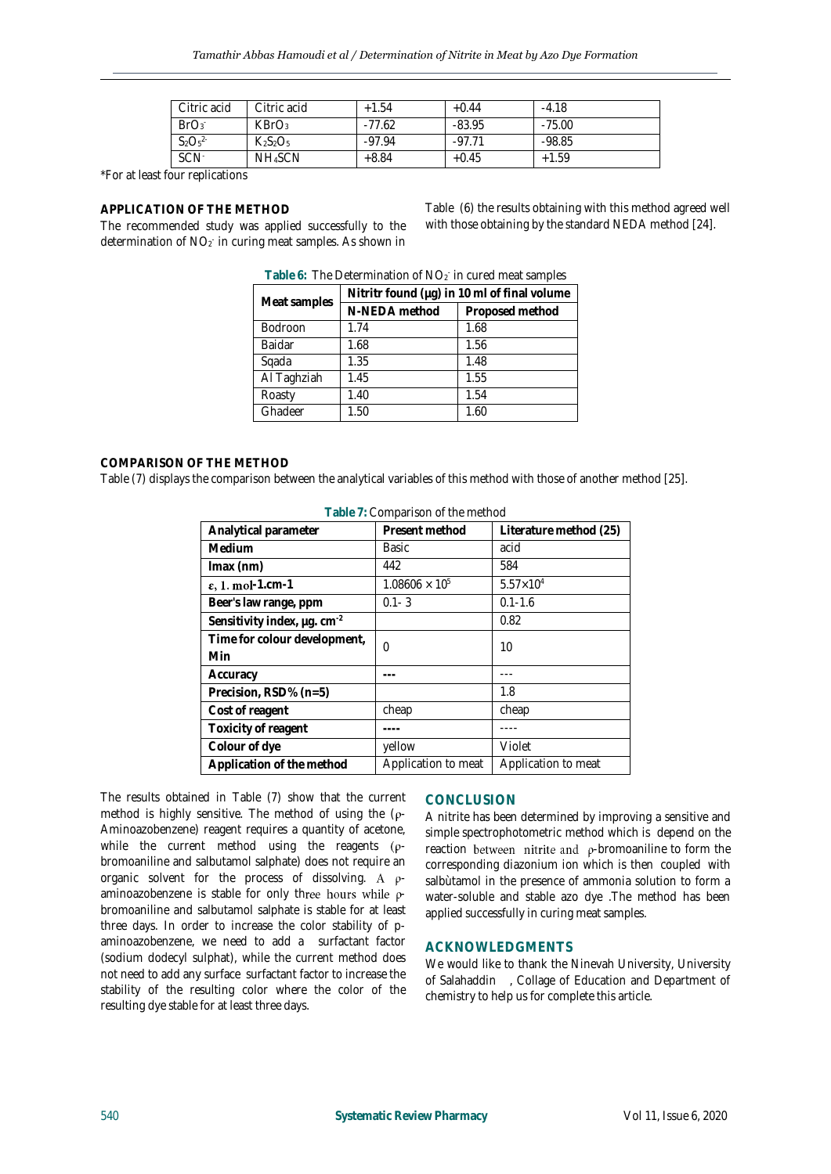| Citric acid      | Citric acid         | $+1.54$  | $+0.44$  | $-4.18$  |
|------------------|---------------------|----------|----------|----------|
| BrO <sub>3</sub> | KBrO <sub>3</sub>   | $-77.62$ | $-83.95$ | $-75.00$ |
| $S_2O_5^{2}$     | $K_2S_2O_5$         | $-97.94$ | $-97.71$ | $-98.85$ |
| SCN <sup>-</sup> | NH <sub>4</sub> SCN | $+8.84$  | $+0.45$  | $+1.59$  |

\*For at least four replications

#### **APPLICATION OF THE METHOD**

The recommended study was applied successfully to the determination of NO<sub>2</sub> in curing meat samples. As shown in Table (6) the results obtaining with this method agreed well with those obtaining by the standard NEDA method [24].

|              | Nitritr found (µg) in 10 ml of final volume |                 |  |
|--------------|---------------------------------------------|-----------------|--|
| Meat samples | N-NEDA method                               | Proposed method |  |
| Bodroon      | 1.74                                        | 1.68            |  |
| Baidar       | 1.68                                        | 1.56            |  |
| Sqada        | 1.35                                        | 1.48            |  |
| Al Taghziah  | 1.45                                        | 1.55            |  |
| Roasty       | 1.40                                        | 1.54            |  |
| Ghadeer      | 1.50                                        | 1.60            |  |

Table 6: The Determination of NO<sub>2</sub> in cured meat samples

#### **COMPARISON OF THE METHOD**

Table (7) displays the comparison between the analytical variables of this method with those of another method [25].

| Table 7: Comparison of the method |                         |                        |  |
|-----------------------------------|-------------------------|------------------------|--|
| Analytical parameter              | Present method          | Literature method (25) |  |
| Medium                            | Basic                   | acid                   |  |
| $Imax$ (nm)                       | 442                     | 584                    |  |
| $\varepsilon$ , 1. mol-1.cm-1     | $1.08606 \times 10^{5}$ | $5.57 \times 10^{4}$   |  |
| Beer's law range, ppm             | $0.1 - 3$               | $0.1 - 1.6$            |  |
| Sensitivity index, µg. cm-2       |                         | 0.82                   |  |
| Time for colour development,      | $\Omega$                | 10                     |  |
| Min                               |                         |                        |  |
| Accuracy                          |                         |                        |  |
| Precision, RSD% (n=5)             |                         | 1.8                    |  |
| Cost of reagent                   | cheap                   | cheap                  |  |
| Toxicity of reagent               |                         |                        |  |
| Colour of dye                     | yellow                  | Violet                 |  |
| Application of the method         | Application to meat     | Application to meat    |  |

The results obtained in Table (7) show that the current method is highly sensitive. The method of using the  $(\rho -$ Aminoazobenzene) reagent requires a quantity of acetone, while the current method using the reagents  $(\rho$ bromoaniline and salbutamol salphate) does not require an organic solvent for the process of dissolving. A  $\rho$ aminoazobenzene is stable for only three hours while  $\rho$ bromoaniline and salbutamol salphate is stable for at least three days. In order to increase the color stability of paminoazobenzene, we need to add a surfactant factor (sodium dodecyl sulphat), while the current method does not need to add any surface surfactant factor to increase the stability of the resulting color where the color of the resulting dye stable for at least three days.

#### **CONCLUSION**

A nitrite has been determined by improving a sensitive and simple spectrophotometric method which is depend on the reaction between nitrite and  $\rho$ -bromoaniline to form the corresponding diazonium ion which is then coupled with salbùtamol in the presence of ammonia solution to form a water-soluble and stable azo dye .The method has been applied successfully in curing meat samples.

#### **ACKNOWLEDGMENTS**

We would like to thank the Ninevah University, University of Salahaddin , Collage of Education and Department of chemistry to help us for complete this article.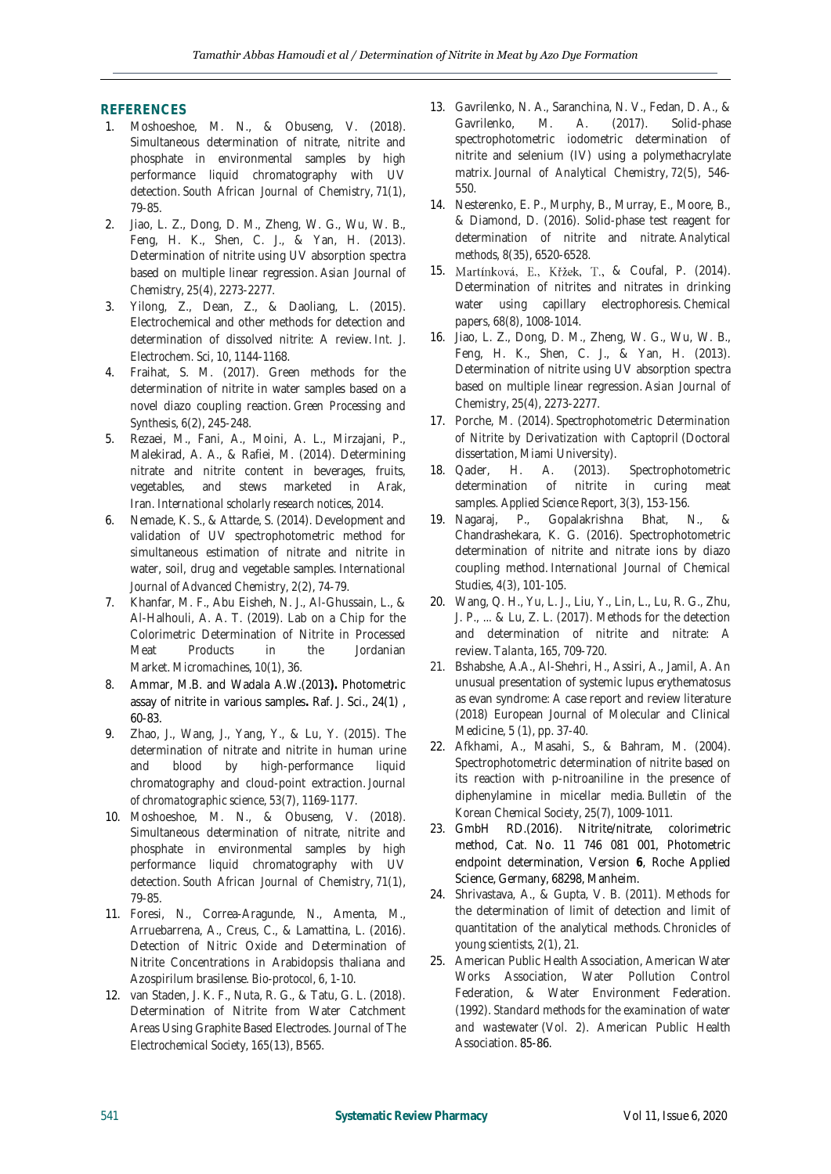#### **REFERENCES**

- 1. Moshoeshoe, M. N., & Obuseng, V. (2018). Simultaneous determination of nitrate, nitrite and phosphate in environmental samples by high performance liquid chromatography with UV detection. *South African Journal of Chemistry*, *71*(1), 79-85.
- 2. Jiao, L. Z., Dong, D. M., Zheng, W. G., Wu, W. B., Feng, H. K., Shen, C. J., & Yan, H. (2013). Determination of nitrite using UV absorption spectra based on multiple linear regression. *Asian Journal of Chemistry*, *25*(4), 2273-2277.
- 3. Yilong, Z., Dean, Z., & Daoliang, L. (2015). Electrochemical and other methods for detection and determination of dissolved nitrite: A review. *Int. J. Electrochem. Sci*, *10*, 1144-1168.
- 4. Fraihat, S. M. (2017). Green methods for the determination of nitrite in water samples based on a novel diazo coupling reaction. *Green Processing and Synthesis*, *6*(2), 245-248.
- 5. Rezaei, M., Fani, A., Moini, A. L., Mirzajani, P., Malekirad, A. A., & Rafiei, M. (2014). Determining nitrate and nitrite content in beverages, fruits, vegetables, and stews marketed in Arak, Iran. *International scholarly research notices*, *2014*.
- 6. Nemade, K. S., & Attarde, S. (2014). Development and validation of UV spectrophotometric method for simultaneous estimation of nitrate and nitrite in water, soil, drug and vegetable samples. *International Journal of Advanced Chemistry*, *2*(2), 74-79.
- 7. Khanfar, M. F., Abu Eisheh, N. J., Al-Ghussain, L., & Al-Halhouli, A. A. T. (2019). Lab on a Chip for the Colorimetric Determination of Nitrite in Processed Meat Products in the Jordanian Market. *Micromachines*, *10*(1), 36.
- 8. Ammar, M.B. and Wadala A.W.(2013**).** Photometric assay of nitrite in various samples**.** Raf. J. Sci., 24(1) , 60-83.
- 9. Zhao, J., Wang, J., Yang, Y., & Lu, Y. (2015). The determination of nitrate and nitrite in human urine and blood by high-performance liquid chromatography and cloud-point extraction. *Journal of chromatographic science*, *53*(7), 1169-1177.
- 10. Moshoeshoe, M. N., & Obuseng, V. (2018). Simultaneous determination of nitrate, nitrite and phosphate in environmental samples by high performance liquid chromatography with UV detection. *South African Journal of Chemistry*, *71*(1), 79-85.
- 11. Foresi, N., Correa-Aragunde, N., Amenta, M., Arruebarrena, A., Creus, C., & Lamattina, L. (2016). Detection of Nitric Oxide and Determination of Nitrite Concentrations in Arabidopsis thaliana and Azospirilum brasilense. *Bio-protocol*, *6*, 1-10.
- 12. van Staden, J. K. F., Nuta, R. G., & Tatu, G. L. (2018). Determination of Nitrite from Water Catchment Areas Using Graphite Based Electrodes. *Journal of The Electrochemical Society*, *165*(13), B565.
- 13. Gavrilenko, N. A., Saranchina, N. V., Fedan, D. A., & Gavrilenko, M. A. (2017). Solid-phase spectrophotometric iodometric determination of nitrite and selenium (IV) using a polymethacrylate matrix. *Journal of Analytical Chemistry*, *72*(5), 546- 550.
- 14. Nesterenko, E. P., Murphy, B., Murray, E., Moore, B., & Diamond, D. (2016). Solid-phase test reagent for determination of nitrite and nitrate. *Analytical methods*, *8*(35), 6520-6528.
- 15. Martínková, E., Křžek, T., & Coufal, P. (2014). Determination of nitrites and nitrates in drinking water using capillary electrophoresis. *Chemical papers*, *68*(8), 1008-1014.
- 16. Jiao, L. Z., Dong, D. M., Zheng, W. G., Wu, W. B., Feng, H. K., Shen, C. J., & Yan, H. (2013). Determination of nitrite using UV absorption spectra based on multiple linear regression. *Asian Journal of Chemistry*, *25*(4), 2273-2277.
- 17. Porche, M. (2014). *Spectrophotometric Determination of Nitrite by Derivatization with Captopril* (Doctoral dissertation, Miami University).
- 18. Qader, H. A. (2013). Spectrophotometric determination of nitrite in curing meat samples. *Applied Science Report*, *3*(3), 153-156.
- 19. Nagaraj, P., Gopalakrishna Bhat, N., & Chandrashekara, K. G. (2016). Spectrophotometric determination of nitrite and nitrate ions by diazo coupling method. *International Journal of Chemical Studies*, *4*(3), 101-105.
- 20. Wang, Q. H., Yu, L. J., Liu, Y., Lin, L., Lu, R. G., Zhu, J. P., ... & Lu, Z. L. (2017). Methods for the detection and determination of nitrite and nitrate: A review. *Talanta*, *165*, 709-720.
- 21. Bshabshe, A.A., Al-Shehri, H., Assiri, A., Jamil, A. An unusual presentation of systemic lupus erythematosus as evan syndrome: A case report and review literature (2018) European Journal of Molecular and Clinical Medicine, 5 (1), pp. 37-40.
- 22. Afkhami, A., Masahi, S., & Bahram, M. (2004). Spectrophotometric determination of nitrite based on its reaction with p-nitroaniline in the presence of diphenylamine in micellar media. *Bulletin of the Korean Chemical Society*, *25*(7), 1009-1011.
- 23. GmbH RD.(2016). Nitrite/nitrate, colorimetric method, Cat. No. 11 746 081 001, Photometric endpoint determination, Version **6**, Roche Applied Science, Germany, 68298, Manheim.
- 24. Shrivastava, A., & Gupta, V. B. (2011). Methods for the determination of limit of detection and limit of quantitation of the analytical methods. *Chronicles of young scientists*, *2*(1), 21.
- 25. American Public Health Association, American Water Works Association, Water Pollution Control Federation, & Water Environment Federation. (1992). *Standard methods for the examination of water and wastewater* (Vol. 2). American Public Health Association. 85-86.